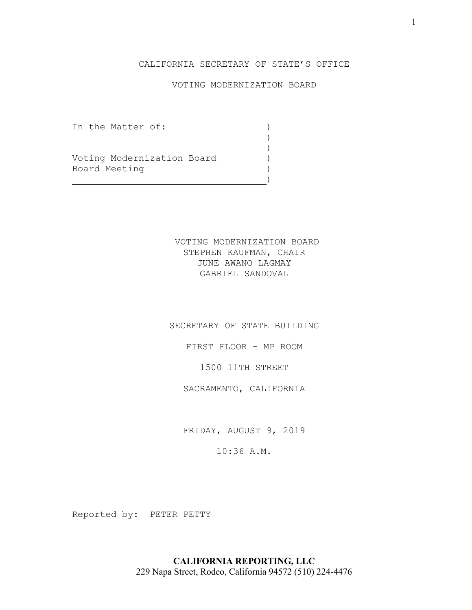# CALIFORNIA SECRETARY OF STATE'S OFFICE

# VOTING MODERNIZATION BOARD

)<br>)

)

In the Matter of: )

Voting Modernization Board (1997)<br>Board Meeting Board Meeting )

 $\qquad \qquad )$ 

VOTING MODERNIZATION BOARD STEPHEN KAUFMAN, CHAIR JUNE AWANO LAGMAY GABRIEL SANDOVAL

SECRETARY OF STATE BUILDING

FIRST FLOOR - MP ROOM

1500 11TH STREET

SACRAMENTO, CALIFORNIA

FRIDAY, AUGUST 9, 2019

10:36 A.M.

Reported by: PETER PETTY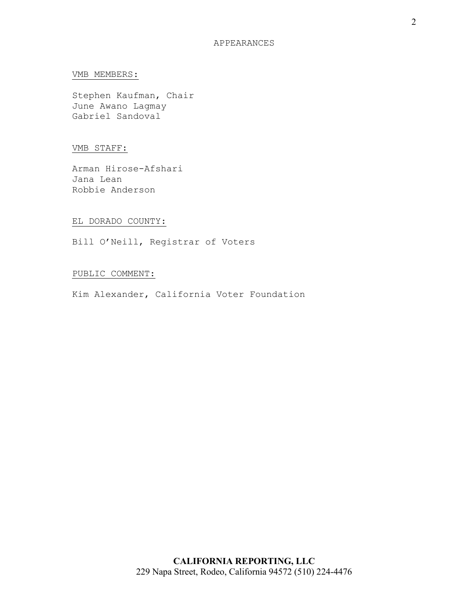#### VMB MEMBERS:

Stephen Kaufman, Chair June Awano Lagmay Gabriel Sandoval

### VMB STAFF:

Arman Hirose-Afshari Jana Lean Robbie Anderson

#### EL DORADO COUNTY:

Bill O'Neill, Registrar of Voters

## PUBLIC COMMENT:

Kim Alexander, California Voter Foundation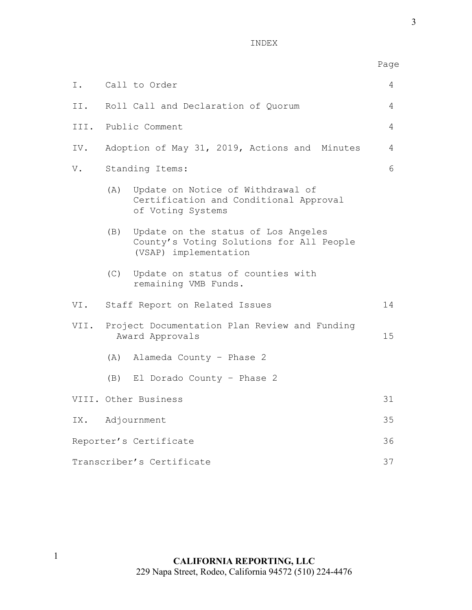INDEX

|                                 |                                               |                                                                                                          | Page |
|---------------------------------|-----------------------------------------------|----------------------------------------------------------------------------------------------------------|------|
| I.                              |                                               | Call to Order                                                                                            | 4    |
| II.                             | Roll Call and Declaration of Quorum           |                                                                                                          |      |
|                                 | III. Public Comment                           |                                                                                                          |      |
| IV.                             | Adoption of May 31, 2019, Actions and Minutes |                                                                                                          | 4    |
| V.                              | Standing Items:                               |                                                                                                          | 6    |
|                                 |                                               | (A) Update on Notice of Withdrawal of<br>Certification and Conditional Approval<br>of Voting Systems     |      |
|                                 | (B)                                           | Update on the status of Los Angeles<br>County's Voting Solutions for All People<br>(VSAP) implementation |      |
|                                 |                                               | (C) Update on status of counties with<br>remaining VMB Funds.                                            |      |
|                                 | VI. Staff Report on Related Issues            |                                                                                                          |      |
| VII.                            |                                               | Project Documentation Plan Review and Funding<br>Award Approvals                                         | 15   |
|                                 |                                               | (A) Alameda County - Phase 2                                                                             |      |
|                                 |                                               | (B) El Dorado County - Phase 2                                                                           |      |
|                                 |                                               | VIII. Other Business                                                                                     | 31   |
| IX.                             |                                               | Adjournment                                                                                              | 35   |
| Reporter's Certificate          |                                               |                                                                                                          | 36   |
| Transcriber's Certificate<br>37 |                                               |                                                                                                          |      |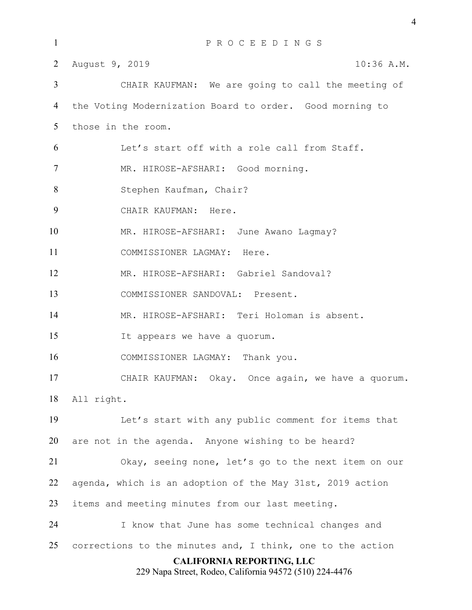| $\mathbf{1}$                                                                                | PROCEEDINGS                                                |  |  |  |
|---------------------------------------------------------------------------------------------|------------------------------------------------------------|--|--|--|
| $\overline{2}$                                                                              | August 9, 2019<br>$10:36$ A.M.                             |  |  |  |
| $\mathfrak{Z}$                                                                              | CHAIR KAUFMAN: We are going to call the meeting of         |  |  |  |
| 4                                                                                           | the Voting Modernization Board to order. Good morning to   |  |  |  |
| 5                                                                                           | those in the room.                                         |  |  |  |
| 6                                                                                           | Let's start off with a role call from Staff.               |  |  |  |
| $\overline{7}$                                                                              | MR. HIROSE-AFSHARI: Good morning.                          |  |  |  |
| 8                                                                                           | Stephen Kaufman, Chair?                                    |  |  |  |
| 9                                                                                           | CHAIR KAUFMAN: Here.                                       |  |  |  |
| 10                                                                                          | MR. HIROSE-AFSHARI: June Awano Lagmay?                     |  |  |  |
| 11                                                                                          | COMMISSIONER LAGMAY: Here.                                 |  |  |  |
| 12                                                                                          | MR. HIROSE-AFSHARI: Gabriel Sandoval?                      |  |  |  |
| 13                                                                                          | COMMISSIONER SANDOVAL: Present.                            |  |  |  |
| 14                                                                                          | MR. HIROSE-AFSHARI: Teri Holoman is absent.                |  |  |  |
| 15                                                                                          | It appears we have a quorum.                               |  |  |  |
| 16                                                                                          | COMMISSIONER LAGMAY: Thank you.                            |  |  |  |
| 17                                                                                          | CHAIR KAUFMAN: Okay. Once again, we have a quorum.         |  |  |  |
| 18                                                                                          | All right.                                                 |  |  |  |
| 19                                                                                          | Let's start with any public comment for items that         |  |  |  |
| 20                                                                                          | are not in the agenda. Anyone wishing to be heard?         |  |  |  |
| 21                                                                                          | Okay, seeing none, let's go to the next item on our        |  |  |  |
| 22                                                                                          | agenda, which is an adoption of the May 31st, 2019 action  |  |  |  |
| 23                                                                                          | items and meeting minutes from our last meeting.           |  |  |  |
| 24                                                                                          | I know that June has some technical changes and            |  |  |  |
| 25                                                                                          | corrections to the minutes and, I think, one to the action |  |  |  |
| <b>CALIFORNIA REPORTING, LLC</b><br>229 Napa Street, Rodeo, California 94572 (510) 224-4476 |                                                            |  |  |  |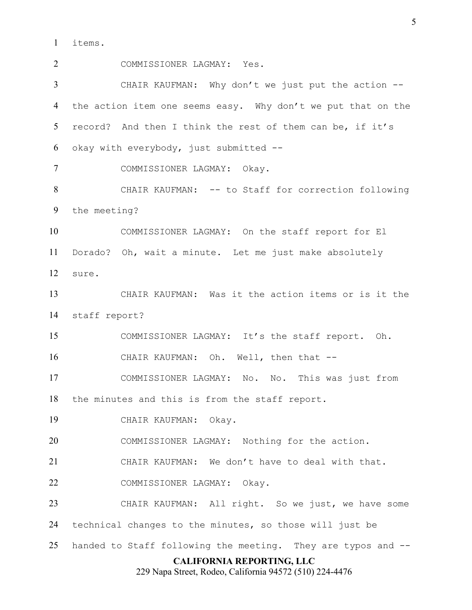items.

**CALIFORNIA REPORTING, LLC** COMMISSIONER LAGMAY: Yes. CHAIR KAUFMAN: Why don't we just put the action -- 4 the action item one seems easy. Why don't we put that on the record? And then I think the rest of them can be, if it's okay with everybody, just submitted -- COMMISSIONER LAGMAY: Okay. CHAIR KAUFMAN: -- to Staff for correction following the meeting? COMMISSIONER LAGMAY: On the staff report for El Dorado? Oh, wait a minute. Let me just make absolutely sure. CHAIR KAUFMAN: Was it the action items or is it the staff report? COMMISSIONER LAGMAY: It's the staff report. Oh. CHAIR KAUFMAN: Oh. Well, then that -- COMMISSIONER LAGMAY: No. No. This was just from the minutes and this is from the staff report. CHAIR KAUFMAN: Okay. COMMISSIONER LAGMAY: Nothing for the action. CHAIR KAUFMAN: We don't have to deal with that. COMMISSIONER LAGMAY: Okay. CHAIR KAUFMAN: All right. So we just, we have some technical changes to the minutes, so those will just be handed to Staff following the meeting. They are typos and --

229 Napa Street, Rodeo, California 94572 (510) 224-4476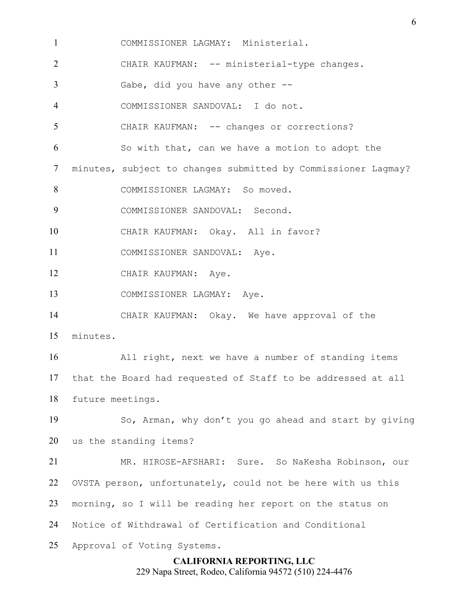COMMISSIONER LAGMAY: Ministerial.

CHAIR KAUFMAN: -- ministerial-type changes.

Gabe, did you have any other --

COMMISSIONER SANDOVAL: I do not.

5 CHAIR KAUFMAN: -- changes or corrections?

So with that, can we have a motion to adopt the

minutes, subject to changes submitted by Commissioner Lagmay?

8 COMMISSIONER LAGMAY: So moved.

COMMISSIONER SANDOVAL: Second.

CHAIR KAUFMAN: Okay. All in favor?

COMMISSIONER SANDOVAL: Aye.

12 CHAIR KAUFMAN: Aye.

COMMISSIONER LAGMAY: Aye.

 CHAIR KAUFMAN: Okay. We have approval of the minutes.

 All right, next we have a number of standing items that the Board had requested of Staff to be addressed at all

future meetings.

 So, Arman, why don't you go ahead and start by giving us the standing items?

 MR. HIROSE-AFSHARI: Sure. So NaKesha Robinson, our OVSTA person, unfortunately, could not be here with us this morning, so I will be reading her report on the status on Notice of Withdrawal of Certification and Conditional Approval of Voting Systems.

> **CALIFORNIA REPORTING, LLC** 229 Napa Street, Rodeo, California 94572 (510) 224-4476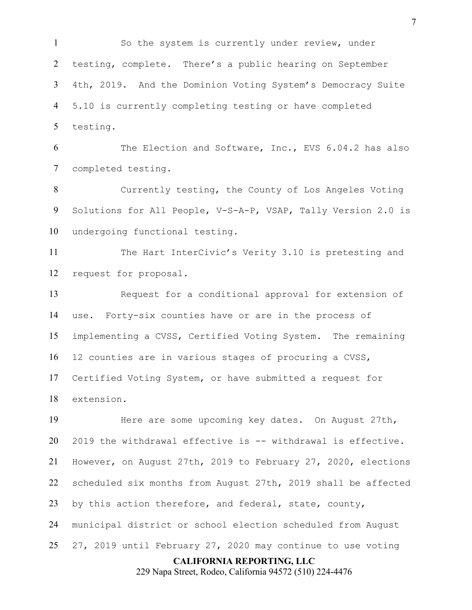So the system is currently under review, under testing, complete. There's a public hearing on September 4th, 2019. And the Dominion Voting System's Democracy Suite 5.10 is currently completing testing or have completed testing.

 The Election and Software, Inc., EVS 6.04.2 has also completed testing.

 Currently testing, the County of Los Angeles Voting Solutions for All People, V-S-A-P, VSAP, Tally Version 2.0 is undergoing functional testing.

 The Hart InterCivic's Verity 3.10 is pretesting and request for proposal.

 Request for a conditional approval for extension of use. Forty-six counties have or are in the process of implementing a CVSS, Certified Voting System. The remaining 12 counties are in various stages of procuring a CVSS, Certified Voting System, or have submitted a request for extension.

 Here are some upcoming key dates. On August 27th, 2019 the withdrawal effective is -- withdrawal is effective. However, on August 27th, 2019 to February 27, 2020, elections scheduled six months from August 27th, 2019 shall be affected by this action therefore, and federal, state, county, municipal district or school election scheduled from August 27, 2019 until February 27, 2020 may continue to use voting

**CALIFORNIA REPORTING, LLC**

229 Napa Street, Rodeo, California 94572 (510) 224-4476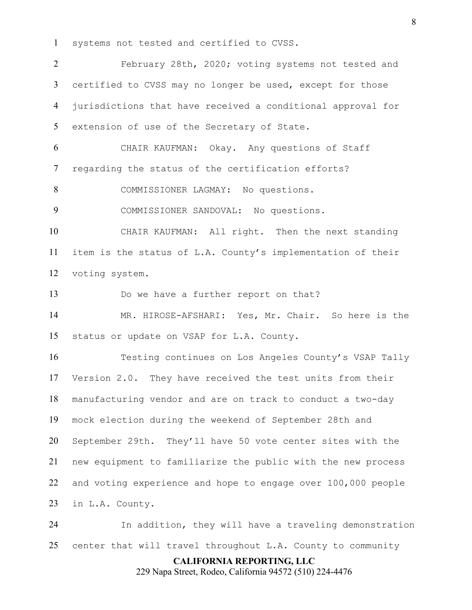systems not tested and certified to CVSS.

 February 28th, 2020; voting systems not tested and certified to CVSS may no longer be used, except for those jurisdictions that have received a conditional approval for extension of use of the Secretary of State.

 CHAIR KAUFMAN: Okay. Any questions of Staff regarding the status of the certification efforts?

8 COMMISSIONER LAGMAY: No questions.

COMMISSIONER SANDOVAL: No questions.

 CHAIR KAUFMAN: All right. Then the next standing item is the status of L.A. County's implementation of their voting system.

Do we have a further report on that?

 MR. HIROSE-AFSHARI: Yes, Mr. Chair. So here is the status or update on VSAP for L.A. County.

 Testing continues on Los Angeles County's VSAP Tally Version 2.0. They have received the test units from their manufacturing vendor and are on track to conduct a two-day mock election during the weekend of September 28th and September 29th. They'll have 50 vote center sites with the new equipment to familiarize the public with the new process and voting experience and hope to engage over 100,000 people in L.A. County.

 In addition, they will have a traveling demonstration center that will travel throughout L.A. County to community

**CALIFORNIA REPORTING, LLC**

229 Napa Street, Rodeo, California 94572 (510) 224-4476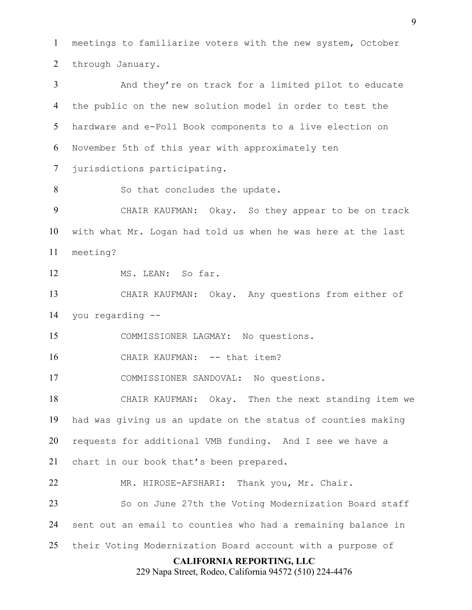meetings to familiarize voters with the new system, October through January.

 And they're on track for a limited pilot to educate the public on the new solution model in order to test the hardware and e-Poll Book components to a live election on November 5th of this year with approximately ten jurisdictions participating.

8 So that concludes the update.

 CHAIR KAUFMAN: Okay. So they appear to be on track with what Mr. Logan had told us when he was here at the last meeting?

MS. LEAN: So far.

 CHAIR KAUFMAN: Okay. Any questions from either of you regarding --

COMMISSIONER LAGMAY: No questions.

16 CHAIR KAUFMAN: -- that item?

COMMISSIONER SANDOVAL: No questions.

 CHAIR KAUFMAN: Okay. Then the next standing item we had was giving us an update on the status of counties making requests for additional VMB funding. And I see we have a

chart in our book that's been prepared.

MR. HIROSE-AFSHARI: Thank you, Mr. Chair.

 So on June 27th the Voting Modernization Board staff sent out an email to counties who had a remaining balance in

their Voting Modernization Board account with a purpose of

## **CALIFORNIA REPORTING, LLC**

229 Napa Street, Rodeo, California 94572 (510) 224-4476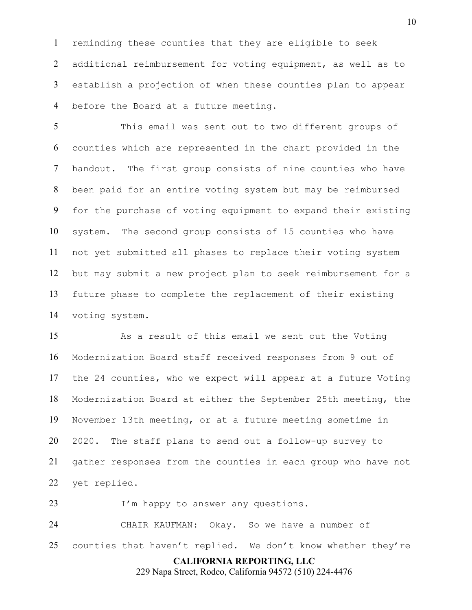reminding these counties that they are eligible to seek additional reimbursement for voting equipment, as well as to establish a projection of when these counties plan to appear before the Board at a future meeting.

 This email was sent out to two different groups of counties which are represented in the chart provided in the handout. The first group consists of nine counties who have been paid for an entire voting system but may be reimbursed for the purchase of voting equipment to expand their existing system. The second group consists of 15 counties who have not yet submitted all phases to replace their voting system but may submit a new project plan to seek reimbursement for a future phase to complete the replacement of their existing voting system.

 As a result of this email we sent out the Voting Modernization Board staff received responses from 9 out of the 24 counties, who we expect will appear at a future Voting Modernization Board at either the September 25th meeting, the November 13th meeting, or at a future meeting sometime in 2020. The staff plans to send out a follow-up survey to gather responses from the counties in each group who have not yet replied.

23 I'm happy to answer any questions.

 CHAIR KAUFMAN: Okay. So we have a number of 25 counties that haven't replied. We don't know whether they're

**CALIFORNIA REPORTING, LLC**

229 Napa Street, Rodeo, California 94572 (510) 224-4476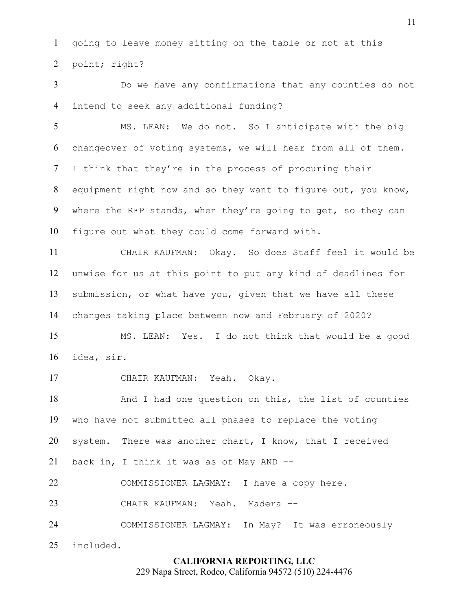going to leave money sitting on the table or not at this point; right?

 Do we have any confirmations that any counties do not intend to seek any additional funding?

 MS. LEAN: We do not. So I anticipate with the big changeover of voting systems, we will hear from all of them. I think that they're in the process of procuring their equipment right now and so they want to figure out, you know, where the RFP stands, when they're going to get, so they can figure out what they could come forward with.

 CHAIR KAUFMAN: Okay. So does Staff feel it would be unwise for us at this point to put any kind of deadlines for submission, or what have you, given that we have all these changes taking place between now and February of 2020?

 MS. LEAN: Yes. I do not think that would be a good idea, sir.

CHAIR KAUFMAN: Yeah. Okay.

18 And I had one question on this, the list of counties who have not submitted all phases to replace the voting system. There was another chart, I know, that I received back in, I think it was as of May AND -- COMMISSIONER LAGMAY: I have a copy here.

CHAIR KAUFMAN: Yeah. Madera --

COMMISSIONER LAGMAY: In May? It was erroneously

included.

### **CALIFORNIA REPORTING, LLC**

229 Napa Street, Rodeo, California 94572 (510) 224-4476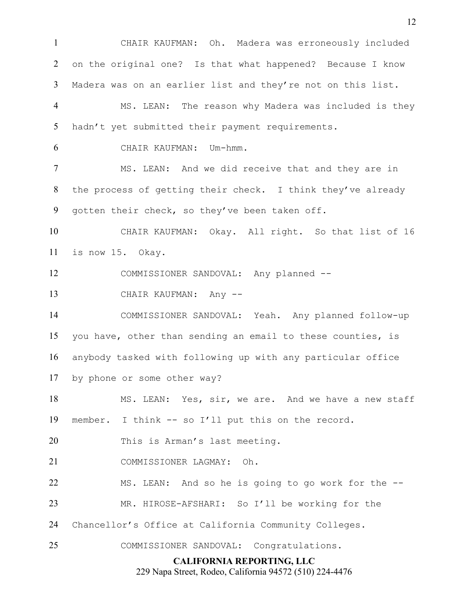**CALIFORNIA REPORTING, LLC** 229 Napa Street, Rodeo, California 94572 (510) 224-4476 CHAIR KAUFMAN: Oh. Madera was erroneously included on the original one? Is that what happened? Because I know Madera was on an earlier list and they're not on this list. MS. LEAN: The reason why Madera was included is they hadn't yet submitted their payment requirements. CHAIR KAUFMAN: Um-hmm. MS. LEAN: And we did receive that and they are in the process of getting their check. I think they've already gotten their check, so they've been taken off. CHAIR KAUFMAN: Okay. All right. So that list of 16 is now 15. Okay. COMMISSIONER SANDOVAL: Any planned -- 13 CHAIR KAUFMAN: Any -- COMMISSIONER SANDOVAL: Yeah. Any planned follow-up you have, other than sending an email to these counties, is anybody tasked with following up with any particular office by phone or some other way? MS. LEAN: Yes, sir, we are. And we have a new staff member. I think -- so I'll put this on the record. 20 This is Arman's last meeting. COMMISSIONER LAGMAY: Oh. MS. LEAN: And so he is going to go work for the -- MR. HIROSE-AFSHARI: So I'll be working for the Chancellor's Office at California Community Colleges. COMMISSIONER SANDOVAL: Congratulations.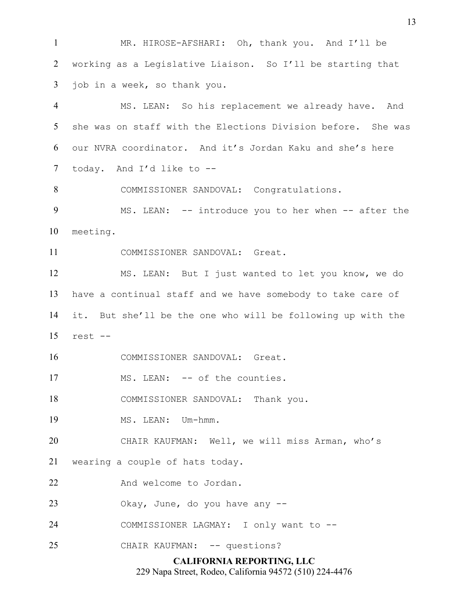MR. HIROSE-AFSHARI: Oh, thank you. And I'll be working as a Legislative Liaison. So I'll be starting that job in a week, so thank you.

4 MS. LEAN: So his replacement we already have. And she was on staff with the Elections Division before. She was our NVRA coordinator. And it's Jordan Kaku and she's here today. And I'd like to --

COMMISSIONER SANDOVAL: Congratulations.

9 MS. LEAN: -- introduce you to her when -- after the meeting.

COMMISSIONER SANDOVAL: Great.

 MS. LEAN: But I just wanted to let you know, we do have a continual staff and we have somebody to take care of it. But she'll be the one who will be following up with the rest --

COMMISSIONER SANDOVAL: Great.

17 MS. LEAN: -- of the counties.

18 COMMISSIONER SANDOVAL: Thank you.

19 MS. LEAN: Um-hmm.

CHAIR KAUFMAN: Well, we will miss Arman, who's

wearing a couple of hats today.

22 And welcome to Jordan.

Okay, June, do you have any --

COMMISSIONER LAGMAY: I only want to --

25 CHAIR KAUFMAN: -- questions?

## **CALIFORNIA REPORTING, LLC**

229 Napa Street, Rodeo, California 94572 (510) 224-4476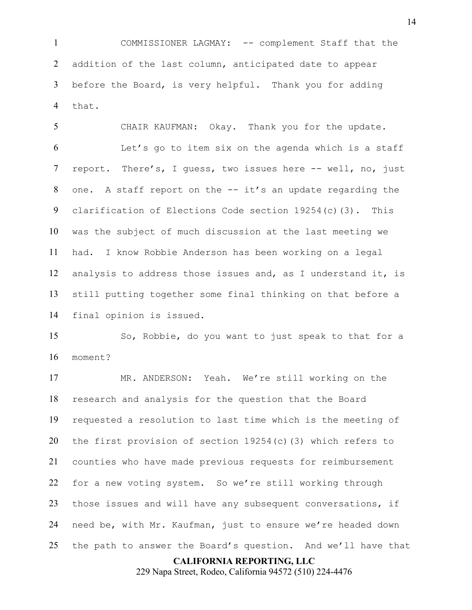COMMISSIONER LAGMAY: -- complement Staff that the addition of the last column, anticipated date to appear before the Board, is very helpful. Thank you for adding that.

 CHAIR KAUFMAN: Okay. Thank you for the update. Let's go to item six on the agenda which is a staff report. There's, I guess, two issues here -- well, no, just one. A staff report on the -- it's an update regarding the clarification of Elections Code section 19254(c)(3). This was the subject of much discussion at the last meeting we had. I know Robbie Anderson has been working on a legal analysis to address those issues and, as I understand it, is still putting together some final thinking on that before a final opinion is issued.

 So, Robbie, do you want to just speak to that for a moment?

 MR. ANDERSON: Yeah. We're still working on the research and analysis for the question that the Board requested a resolution to last time which is the meeting of the first provision of section 19254(c)(3) which refers to counties who have made previous requests for reimbursement for a new voting system. So we're still working through those issues and will have any subsequent conversations, if need be, with Mr. Kaufman, just to ensure we're headed down the path to answer the Board's question. And we'll have that

### **CALIFORNIA REPORTING, LLC**

229 Napa Street, Rodeo, California 94572 (510) 224-4476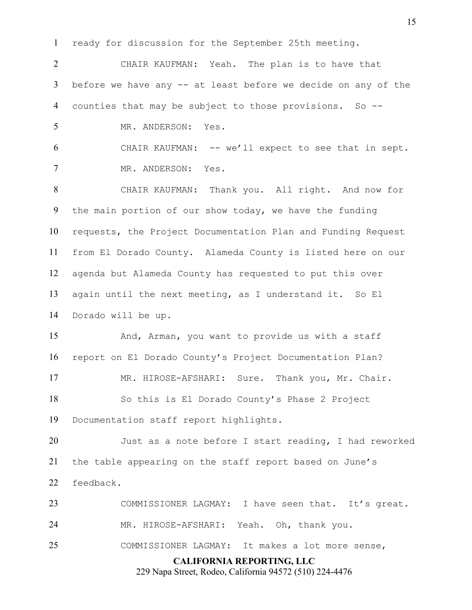ready for discussion for the September 25th meeting.

 CHAIR KAUFMAN: Yeah. The plan is to have that before we have any -- at least before we decide on any of the counties that may be subject to those provisions. So -- MR. ANDERSON: Yes.

 CHAIR KAUFMAN: -- we'll expect to see that in sept. MR. ANDERSON: Yes.

 CHAIR KAUFMAN: Thank you. All right. And now for the main portion of our show today, we have the funding requests, the Project Documentation Plan and Funding Request from El Dorado County. Alameda County is listed here on our agenda but Alameda County has requested to put this over again until the next meeting, as I understand it. So El Dorado will be up.

 And, Arman, you want to provide us with a staff report on El Dorado County's Project Documentation Plan? MR. HIROSE-AFSHARI: Sure. Thank you, Mr. Chair. So this is El Dorado County's Phase 2 Project

Documentation staff report highlights.

 Just as a note before I start reading, I had reworked the table appearing on the staff report based on June's feedback.

**CALIFORNIA REPORTING, LLC** 23 COMMISSIONER LAGMAY: I have seen that. It's great. MR. HIROSE-AFSHARI: Yeah. Oh, thank you. COMMISSIONER LAGMAY: It makes a lot more sense,

229 Napa Street, Rodeo, California 94572 (510) 224-4476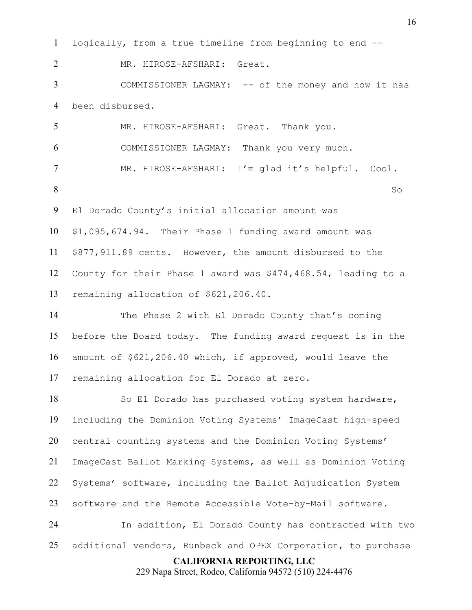**CALIFORNIA REPORTING, LLC** 229 Napa Street, Rodeo, California 94572 (510) 224-4476 logically, from a true timeline from beginning to end -- MR. HIROSE-AFSHARI: Great. COMMISSIONER LAGMAY: -- of the money and how it has been disbursed. MR. HIROSE-AFSHARI: Great. Thank you. COMMISSIONER LAGMAY: Thank you very much. MR. HIROSE-AFSHARI: I'm glad it's helpful. Cool. 8 So El Dorado County's initial allocation amount was \$1,095,674.94. Their Phase 1 funding award amount was \$877,911.89 cents. However, the amount disbursed to the County for their Phase 1 award was \$474,468.54, leading to a remaining allocation of \$621,206.40. The Phase 2 with El Dorado County that's coming before the Board today. The funding award request is in the amount of \$621,206.40 which, if approved, would leave the remaining allocation for El Dorado at zero. So El Dorado has purchased voting system hardware, including the Dominion Voting Systems' ImageCast high-speed central counting systems and the Dominion Voting Systems' ImageCast Ballot Marking Systems, as well as Dominion Voting Systems' software, including the Ballot Adjudication System software and the Remote Accessible Vote-by-Mail software. In addition, El Dorado County has contracted with two additional vendors, Runbeck and OPEX Corporation, to purchase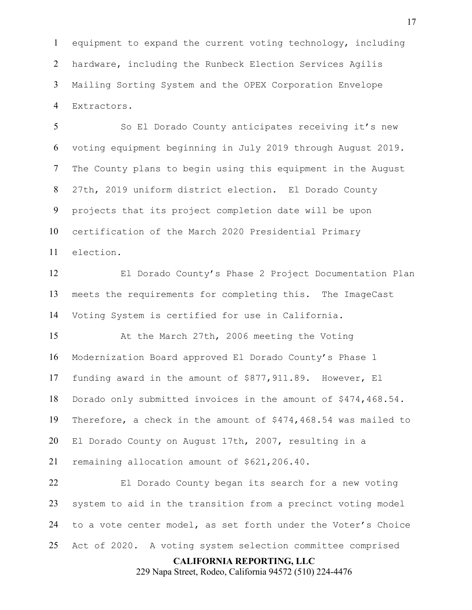equipment to expand the current voting technology, including hardware, including the Runbeck Election Services Agilis Mailing Sorting System and the OPEX Corporation Envelope Extractors.

 So El Dorado County anticipates receiving it's new voting equipment beginning in July 2019 through August 2019. The County plans to begin using this equipment in the August 27th, 2019 uniform district election. El Dorado County projects that its project completion date will be upon certification of the March 2020 Presidential Primary election.

 El Dorado County's Phase 2 Project Documentation Plan meets the requirements for completing this. The ImageCast Voting System is certified for use in California.

 At the March 27th, 2006 meeting the Voting Modernization Board approved El Dorado County's Phase 1 funding award in the amount of \$877,911.89. However, El Dorado only submitted invoices in the amount of \$474,468.54. Therefore, a check in the amount of \$474,468.54 was mailed to El Dorado County on August 17th, 2007, resulting in a remaining allocation amount of \$621,206.40.

 El Dorado County began its search for a new voting system to aid in the transition from a precinct voting model to a vote center model, as set forth under the Voter's Choice Act of 2020. A voting system selection committee comprised

#### **CALIFORNIA REPORTING, LLC**

229 Napa Street, Rodeo, California 94572 (510) 224-4476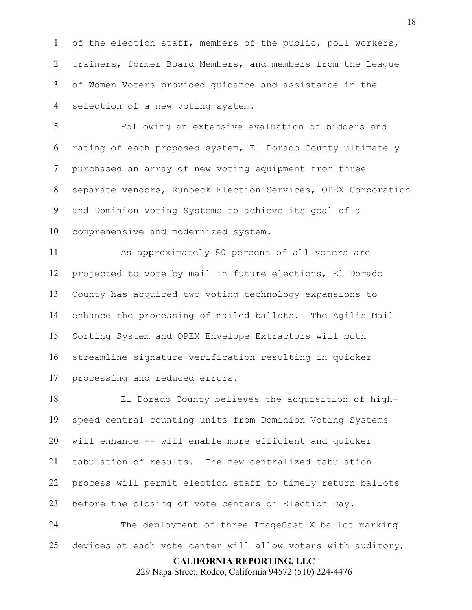of the election staff, members of the public, poll workers, trainers, former Board Members, and members from the League of Women Voters provided guidance and assistance in the selection of a new voting system.

 Following an extensive evaluation of bidders and rating of each proposed system, El Dorado County ultimately purchased an array of new voting equipment from three separate vendors, Runbeck Election Services, OPEX Corporation and Dominion Voting Systems to achieve its goal of a comprehensive and modernized system.

 As approximately 80 percent of all voters are projected to vote by mail in future elections, El Dorado County has acquired two voting technology expansions to enhance the processing of mailed ballots. The Agilis Mail Sorting System and OPEX Envelope Extractors will both streamline signature verification resulting in quicker processing and reduced errors.

 El Dorado County believes the acquisition of high- speed central counting units from Dominion Voting Systems will enhance -- will enable more efficient and quicker tabulation of results. The new centralized tabulation process will permit election staff to timely return ballots before the closing of vote centers on Election Day. The deployment of three ImageCast X ballot marking

devices at each vote center will allow voters with auditory,

## **CALIFORNIA REPORTING, LLC**

229 Napa Street, Rodeo, California 94572 (510) 224-4476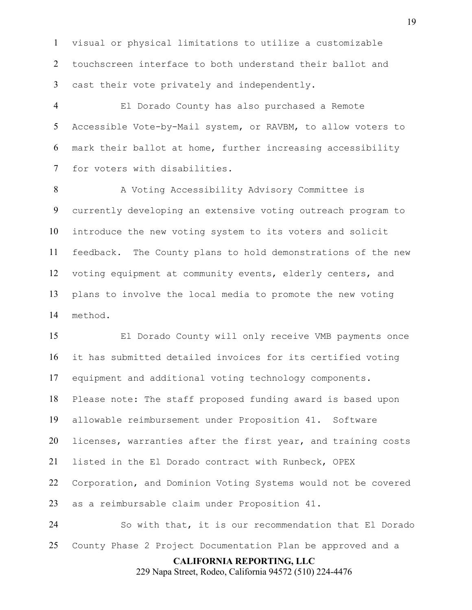visual or physical limitations to utilize a customizable touchscreen interface to both understand their ballot and cast their vote privately and independently.

 El Dorado County has also purchased a Remote Accessible Vote-by-Mail system, or RAVBM, to allow voters to mark their ballot at home, further increasing accessibility for voters with disabilities.

8 A Voting Accessibility Advisory Committee is currently developing an extensive voting outreach program to introduce the new voting system to its voters and solicit feedback. The County plans to hold demonstrations of the new voting equipment at community events, elderly centers, and plans to involve the local media to promote the new voting method.

 El Dorado County will only receive VMB payments once it has submitted detailed invoices for its certified voting equipment and additional voting technology components. Please note: The staff proposed funding award is based upon allowable reimbursement under Proposition 41. Software licenses, warranties after the first year, and training costs listed in the El Dorado contract with Runbeck, OPEX Corporation, and Dominion Voting Systems would not be covered as a reimbursable claim under Proposition 41. So with that, it is our recommendation that El Dorado

County Phase 2 Project Documentation Plan be approved and a

## **CALIFORNIA REPORTING, LLC**

229 Napa Street, Rodeo, California 94572 (510) 224-4476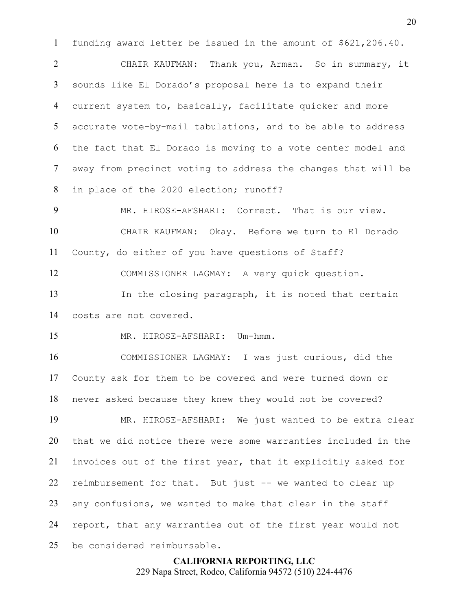funding award letter be issued in the amount of \$621,206.40.

 CHAIR KAUFMAN: Thank you, Arman. So in summary, it sounds like El Dorado's proposal here is to expand their current system to, basically, facilitate quicker and more accurate vote-by-mail tabulations, and to be able to address the fact that El Dorado is moving to a vote center model and away from precinct voting to address the changes that will be in place of the 2020 election; runoff?

 MR. HIROSE-AFSHARI: Correct. That is our view. CHAIR KAUFMAN: Okay. Before we turn to El Dorado County, do either of you have questions of Staff?

COMMISSIONER LAGMAY: A very quick question.

 In the closing paragraph, it is noted that certain costs are not covered.

MR. HIROSE-AFSHARI: Um-hmm.

 COMMISSIONER LAGMAY: I was just curious, did the County ask for them to be covered and were turned down or never asked because they knew they would not be covered?

 MR. HIROSE-AFSHARI: We just wanted to be extra clear that we did notice there were some warranties included in the invoices out of the first year, that it explicitly asked for reimbursement for that. But just -- we wanted to clear up any confusions, we wanted to make that clear in the staff report, that any warranties out of the first year would not be considered reimbursable.

> **CALIFORNIA REPORTING, LLC** 229 Napa Street, Rodeo, California 94572 (510) 224-4476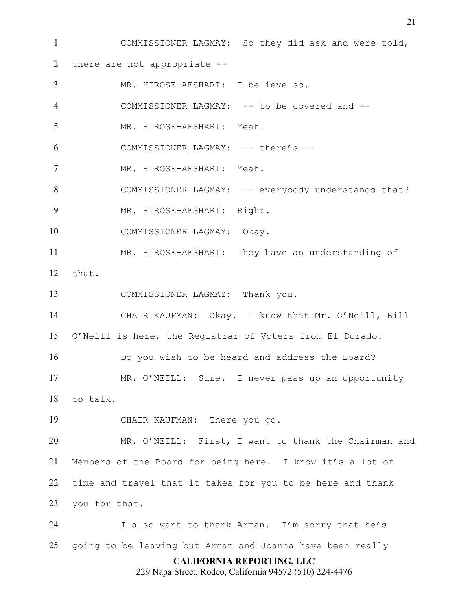**CALIFORNIA REPORTING, LLC** 229 Napa Street, Rodeo, California 94572 (510) 224-4476 COMMISSIONER LAGMAY: So they did ask and were told, there are not appropriate -- MR. HIROSE-AFSHARI: I believe so. COMMISSIONER LAGMAY: -- to be covered and -- MR. HIROSE-AFSHARI: Yeah. COMMISSIONER LAGMAY: -- there's -- MR. HIROSE-AFSHARI: Yeah. COMMISSIONER LAGMAY: -- everybody understands that? MR. HIROSE-AFSHARI: Right. COMMISSIONER LAGMAY: Okay. MR. HIROSE-AFSHARI: They have an understanding of that. COMMISSIONER LAGMAY: Thank you. CHAIR KAUFMAN: Okay. I know that Mr. O'Neill, Bill O'Neill is here, the Registrar of Voters from El Dorado. Do you wish to be heard and address the Board? MR. O'NEILL: Sure. I never pass up an opportunity to talk. CHAIR KAUFMAN: There you go. MR. O'NEILL: First, I want to thank the Chairman and Members of the Board for being here. I know it's a lot of time and travel that it takes for you to be here and thank you for that. I also want to thank Arman. I'm sorry that he's going to be leaving but Arman and Joanna have been really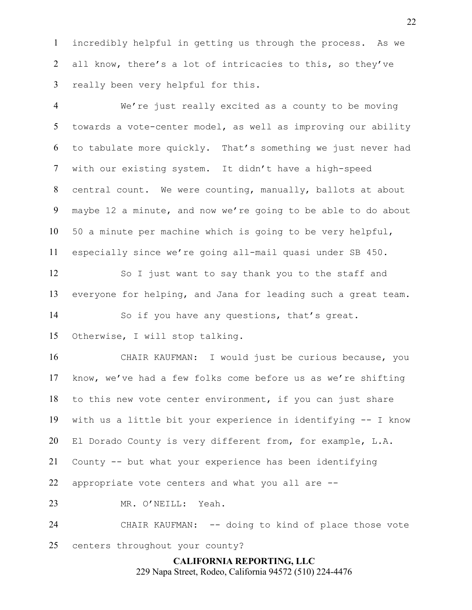incredibly helpful in getting us through the process. As we 2 all know, there's a lot of intricacies to this, so they've really been very helpful for this.

 We're just really excited as a county to be moving towards a vote-center model, as well as improving our ability to tabulate more quickly. That's something we just never had with our existing system. It didn't have a high-speed central count. We were counting, manually, ballots at about maybe 12 a minute, and now we're going to be able to do about 50 a minute per machine which is going to be very helpful, especially since we're going all-mail quasi under SB 450.

 So I just want to say thank you to the staff and everyone for helping, and Jana for leading such a great team.

So if you have any questions, that's great.

Otherwise, I will stop talking.

 CHAIR KAUFMAN: I would just be curious because, you know, we've had a few folks come before us as we're shifting to this new vote center environment, if you can just share with us a little bit your experience in identifying -- I know El Dorado County is very different from, for example, L.A. County -- but what your experience has been identifying appropriate vote centers and what you all are -- MR. O'NEILL: Yeah.

 CHAIR KAUFMAN: -- doing to kind of place those vote centers throughout your county?

> **CALIFORNIA REPORTING, LLC** 229 Napa Street, Rodeo, California 94572 (510) 224-4476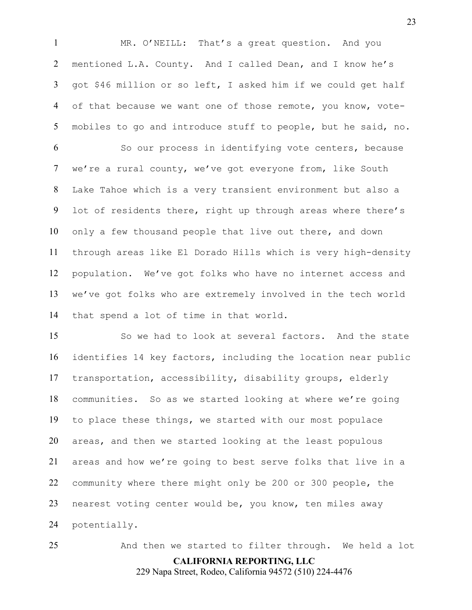MR. O'NEILL: That's a great question. And you mentioned L.A. County. And I called Dean, and I know he's got \$46 million or so left, I asked him if we could get half 4 of that because we want one of those remote, you know, vote-mobiles to go and introduce stuff to people, but he said, no.

 So our process in identifying vote centers, because we're a rural county, we've got everyone from, like South Lake Tahoe which is a very transient environment but also a lot of residents there, right up through areas where there's only a few thousand people that live out there, and down through areas like El Dorado Hills which is very high-density population. We've got folks who have no internet access and we've got folks who are extremely involved in the tech world that spend a lot of time in that world.

 So we had to look at several factors. And the state identifies 14 key factors, including the location near public transportation, accessibility, disability groups, elderly communities. So as we started looking at where we're going to place these things, we started with our most populace areas, and then we started looking at the least populous areas and how we're going to best serve folks that live in a community where there might only be 200 or 300 people, the nearest voting center would be, you know, ten miles away potentially.

**CALIFORNIA REPORTING, LLC** 229 Napa Street, Rodeo, California 94572 (510) 224-4476 And then we started to filter through. We held a lot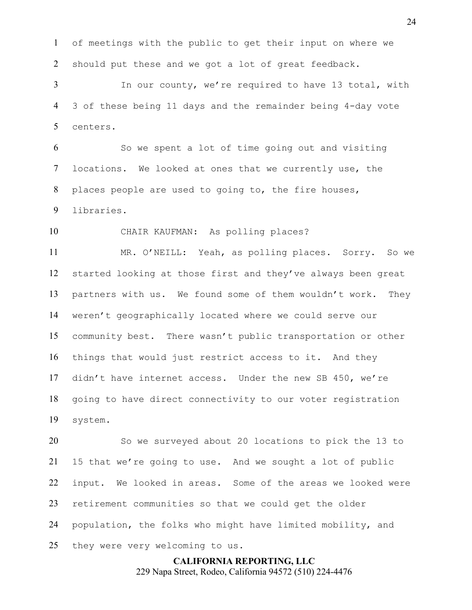of meetings with the public to get their input on where we should put these and we got a lot of great feedback.

 In our county, we're required to have 13 total, with 3 of these being 11 days and the remainder being 4-day vote centers.

 So we spent a lot of time going out and visiting locations. We looked at ones that we currently use, the places people are used to going to, the fire houses, libraries.

CHAIR KAUFMAN: As polling places?

 MR. O'NEILL: Yeah, as polling places. Sorry. So we started looking at those first and they've always been great partners with us. We found some of them wouldn't work. They weren't geographically located where we could serve our community best. There wasn't public transportation or other things that would just restrict access to it. And they didn't have internet access. Under the new SB 450, we're going to have direct connectivity to our voter registration system.

 So we surveyed about 20 locations to pick the 13 to 15 that we're going to use. And we sought a lot of public input. We looked in areas. Some of the areas we looked were retirement communities so that we could get the older population, the folks who might have limited mobility, and they were very welcoming to us.

> **CALIFORNIA REPORTING, LLC** 229 Napa Street, Rodeo, California 94572 (510) 224-4476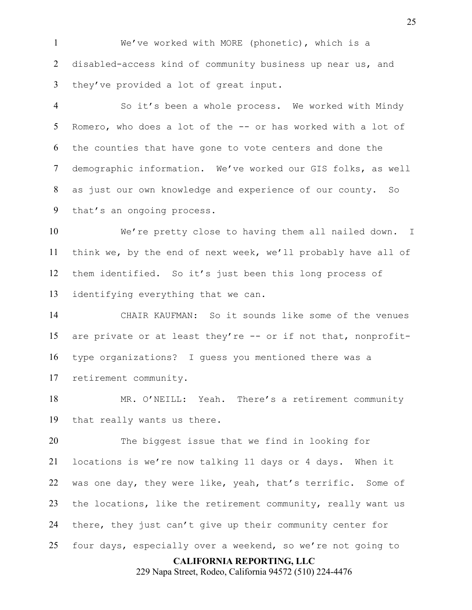We've worked with MORE (phonetic), which is a disabled-access kind of community business up near us, and they've provided a lot of great input.

 So it's been a whole process. We worked with Mindy Romero, who does a lot of the -- or has worked with a lot of the counties that have gone to vote centers and done the demographic information. We've worked our GIS folks, as well as just our own knowledge and experience of our county. So that's an ongoing process.

 We're pretty close to having them all nailed down. I think we, by the end of next week, we'll probably have all of them identified. So it's just been this long process of identifying everything that we can.

 CHAIR KAUFMAN: So it sounds like some of the venues are private or at least they're -- or if not that, nonprofit- type organizations? I guess you mentioned there was a retirement community.

18 MR. O'NEILL: Yeah. There's a retirement community that really wants us there.

 The biggest issue that we find in looking for locations is we're now talking 11 days or 4 days. When it was one day, they were like, yeah, that's terrific. Some of 23 the locations, like the retirement community, really want us there, they just can't give up their community center for four days, especially over a weekend, so we're not going to

#### **CALIFORNIA REPORTING, LLC**

229 Napa Street, Rodeo, California 94572 (510) 224-4476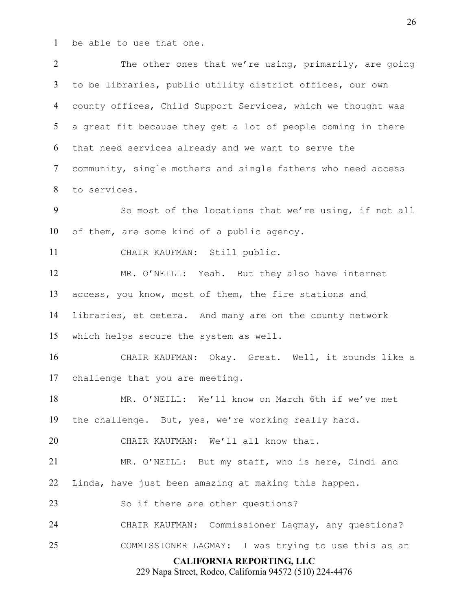be able to use that one.

**CALIFORNIA REPORTING, LLC** 229 Napa Street, Rodeo, California 94572 (510) 224-4476 The other ones that we're using, primarily, are going to be libraries, public utility district offices, our own county offices, Child Support Services, which we thought was a great fit because they get a lot of people coming in there that need services already and we want to serve the community, single mothers and single fathers who need access to services. So most of the locations that we're using, if not all of them, are some kind of a public agency. CHAIR KAUFMAN: Still public. MR. O'NEILL: Yeah. But they also have internet access, you know, most of them, the fire stations and libraries, et cetera. And many are on the county network which helps secure the system as well. CHAIR KAUFMAN: Okay. Great. Well, it sounds like a challenge that you are meeting. MR. O'NEILL: We'll know on March 6th if we've met the challenge. But, yes, we're working really hard. CHAIR KAUFMAN: We'll all know that. MR. O'NEILL: But my staff, who is here, Cindi and Linda, have just been amazing at making this happen. 23 So if there are other questions? CHAIR KAUFMAN: Commissioner Lagmay, any questions? COMMISSIONER LAGMAY: I was trying to use this as an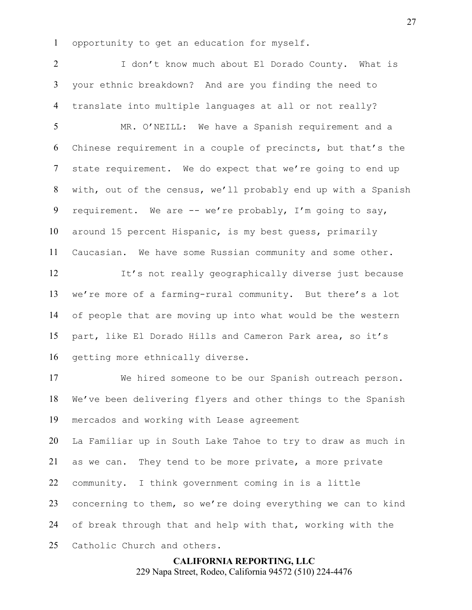opportunity to get an education for myself.

2 1 J don't know much about El Dorado County. What is your ethnic breakdown? And are you finding the need to translate into multiple languages at all or not really?

 MR. O'NEILL: We have a Spanish requirement and a Chinese requirement in a couple of precincts, but that's the state requirement. We do expect that we're going to end up with, out of the census, we'll probably end up with a Spanish requirement. We are -- we're probably, I'm going to say, around 15 percent Hispanic, is my best guess, primarily Caucasian. We have some Russian community and some other.

 It's not really geographically diverse just because we're more of a farming-rural community. But there's a lot of people that are moving up into what would be the western part, like El Dorado Hills and Cameron Park area, so it's getting more ethnically diverse.

 We hired someone to be our Spanish outreach person. We've been delivering flyers and other things to the Spanish mercados and working with Lease agreement

 La Familiar up in South Lake Tahoe to try to draw as much in as we can. They tend to be more private, a more private community. I think government coming in is a little concerning to them, so we're doing everything we can to kind of break through that and help with that, working with the Catholic Church and others.

> **CALIFORNIA REPORTING, LLC** 229 Napa Street, Rodeo, California 94572 (510) 224-4476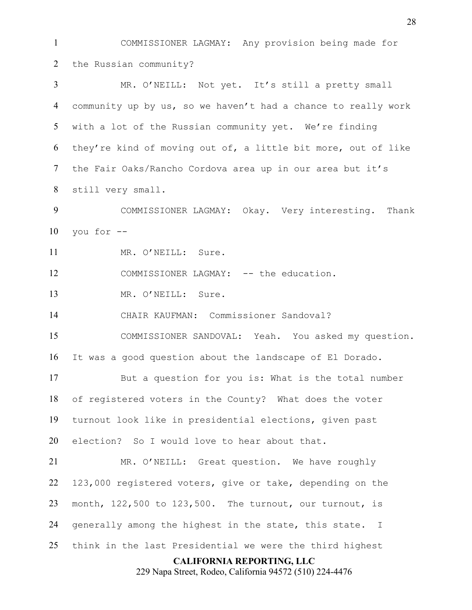**CALIFORNIA REPORTING, LLC** 229 Napa Street, Rodeo, California 94572 (510) 224-4476 COMMISSIONER LAGMAY: Any provision being made for the Russian community? MR. O'NEILL: Not yet. It's still a pretty small community up by us, so we haven't had a chance to really work with a lot of the Russian community yet. We're finding they're kind of moving out of, a little bit more, out of like the Fair Oaks/Rancho Cordova area up in our area but it's still very small. COMMISSIONER LAGMAY: Okay. Very interesting. Thank you for  $-$ 11 MR. O'NEILL: Sure. 12 COMMISSIONER LAGMAY: -- the education. MR. O'NEILL: Sure. CHAIR KAUFMAN: Commissioner Sandoval? COMMISSIONER SANDOVAL: Yeah. You asked my question. It was a good question about the landscape of El Dorado. But a question for you is: What is the total number of registered voters in the County? What does the voter turnout look like in presidential elections, given past election? So I would love to hear about that. MR. O'NEILL: Great question. We have roughly 123,000 registered voters, give or take, depending on the month, 122,500 to 123,500. The turnout, our turnout, is generally among the highest in the state, this state. I think in the last Presidential we were the third highest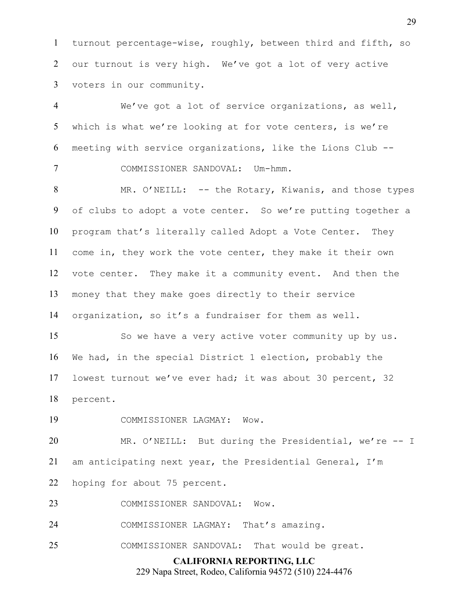turnout percentage-wise, roughly, between third and fifth, so our turnout is very high. We've got a lot of very active voters in our community.

 We've got a lot of service organizations, as well, which is what we're looking at for vote centers, is we're meeting with service organizations, like the Lions Club -- COMMISSIONER SANDOVAL: Um-hmm.

 MR. O'NEILL: -- the Rotary, Kiwanis, and those types of clubs to adopt a vote center. So we're putting together a program that's literally called Adopt a Vote Center. They come in, they work the vote center, they make it their own vote center. They make it a community event. And then the money that they make goes directly to their service organization, so it's a fundraiser for them as well.

 So we have a very active voter community up by us. We had, in the special District 1 election, probably the lowest turnout we've ever had; it was about 30 percent, 32 percent.

COMMISSIONER LAGMAY: Wow.

 MR. O'NEILL: But during the Presidential, we're -- I am anticipating next year, the Presidential General, I'm hoping for about 75 percent.

COMMISSIONER SANDOVAL: Wow.

COMMISSIONER LAGMAY: That's amazing.

COMMISSIONER SANDOVAL: That would be great.

**CALIFORNIA REPORTING, LLC**

229 Napa Street, Rodeo, California 94572 (510) 224-4476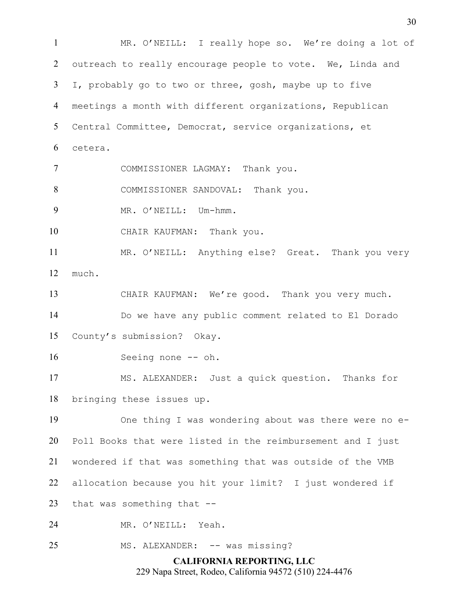**CALIFORNIA REPORTING, LLC** MR. O'NEILL: I really hope so. We're doing a lot of outreach to really encourage people to vote. We, Linda and I, probably go to two or three, gosh, maybe up to five meetings a month with different organizations, Republican Central Committee, Democrat, service organizations, et cetera. COMMISSIONER LAGMAY: Thank you. 8 COMMISSIONER SANDOVAL: Thank you. 9 MR. O'NEILL: Um-hmm. CHAIR KAUFMAN: Thank you. MR. O'NEILL: Anything else? Great. Thank you very much. CHAIR KAUFMAN: We're good. Thank you very much. Do we have any public comment related to El Dorado County's submission? Okay. 16 Seeing none -- oh. MS. ALEXANDER: Just a quick question. Thanks for bringing these issues up. One thing I was wondering about was there were no e- Poll Books that were listed in the reimbursement and I just wondered if that was something that was outside of the VMB allocation because you hit your limit? I just wondered if that was something that -- MR. O'NEILL: Yeah. 25 MS. ALEXANDER: -- was missing?

229 Napa Street, Rodeo, California 94572 (510) 224-4476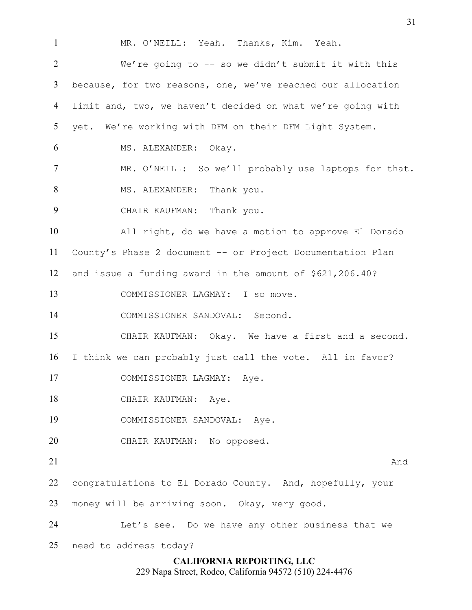**CALIFORNIA REPORTING, LLC** MR. O'NEILL: Yeah. Thanks, Kim. Yeah. We're going to -- so we didn't submit it with this because, for two reasons, one, we've reached our allocation limit and, two, we haven't decided on what we're going with yet. We're working with DFM on their DFM Light System. MS. ALEXANDER: Okay. MR. O'NEILL: So we'll probably use laptops for that. 8 MS. ALEXANDER: Thank you. CHAIR KAUFMAN: Thank you. All right, do we have a motion to approve El Dorado County's Phase 2 document -- or Project Documentation Plan and issue a funding award in the amount of \$621,206.40? COMMISSIONER LAGMAY: I so move. COMMISSIONER SANDOVAL: Second. CHAIR KAUFMAN: Okay. We have a first and a second. I think we can probably just call the vote. All in favor? COMMISSIONER LAGMAY: Aye. 18 CHAIR KAUFMAN: Aye. COMMISSIONER SANDOVAL: Aye. CHAIR KAUFMAN: No opposed. 21 And  $\lambda$  congratulations to El Dorado County. And, hopefully, your money will be arriving soon. Okay, very good. Let's see. Do we have any other business that we need to address today?

229 Napa Street, Rodeo, California 94572 (510) 224-4476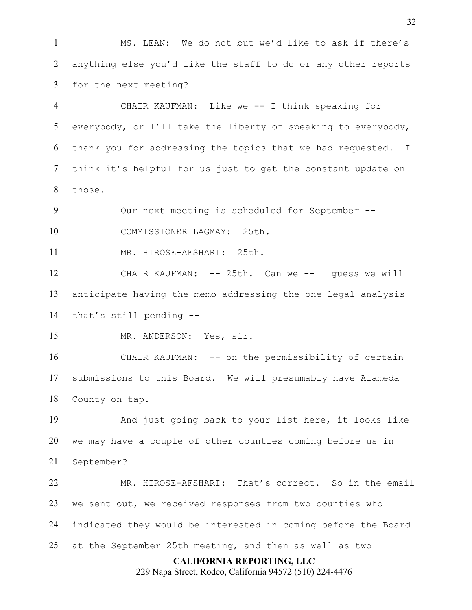MS. LEAN: We do not but we'd like to ask if there's anything else you'd like the staff to do or any other reports for the next meeting?

 CHAIR KAUFMAN: Like we -- I think speaking for everybody, or I'll take the liberty of speaking to everybody, thank you for addressing the topics that we had requested. I think it's helpful for us just to get the constant update on those.

Our next meeting is scheduled for September --

COMMISSIONER LAGMAY: 25th.

MR. HIROSE-AFSHARI: 25th.

 CHAIR KAUFMAN: -- 25th. Can we -- I guess we will anticipate having the memo addressing the one legal analysis that's still pending --

MR. ANDERSON: Yes, sir.

16 CHAIR KAUFMAN: -- on the permissibility of certain submissions to this Board. We will presumably have Alameda County on tap.

 And just going back to your list here, it looks like we may have a couple of other counties coming before us in September?

 MR. HIROSE-AFSHARI: That's correct. So in the email we sent out, we received responses from two counties who indicated they would be interested in coming before the Board at the September 25th meeting, and then as well as two

**CALIFORNIA REPORTING, LLC**

229 Napa Street, Rodeo, California 94572 (510) 224-4476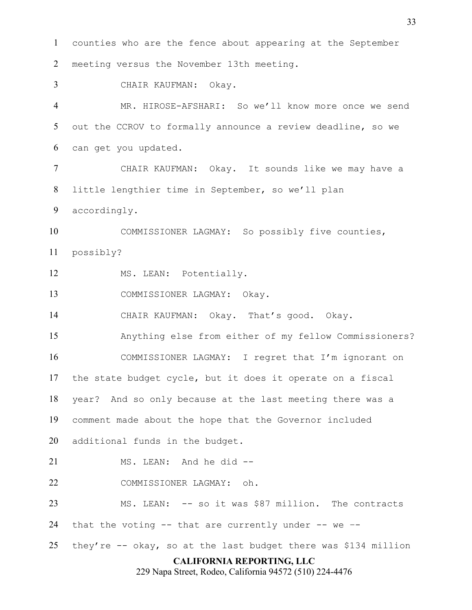**CALIFORNIA REPORTING, LLC** 229 Napa Street, Rodeo, California 94572 (510) 224-4476 counties who are the fence about appearing at the September meeting versus the November 13th meeting. CHAIR KAUFMAN: Okay. MR. HIROSE-AFSHARI: So we'll know more once we send out the CCROV to formally announce a review deadline, so we can get you updated. CHAIR KAUFMAN: Okay. It sounds like we may have a little lengthier time in September, so we'll plan accordingly. COMMISSIONER LAGMAY: So possibly five counties, possibly? 12 MS. LEAN: Potentially. COMMISSIONER LAGMAY: Okay. CHAIR KAUFMAN: Okay. That's good. Okay. Anything else from either of my fellow Commissioners? COMMISSIONER LAGMAY: I regret that I'm ignorant on the state budget cycle, but it does it operate on a fiscal year? And so only because at the last meeting there was a comment made about the hope that the Governor included additional funds in the budget. MS. LEAN: And he did -- COMMISSIONER LAGMAY: oh. MS. LEAN: -- so it was \$87 million. The contracts that the voting -- that are currently under -- we –- 25 they're  $-$  okay, so at the last budget there was \$134 million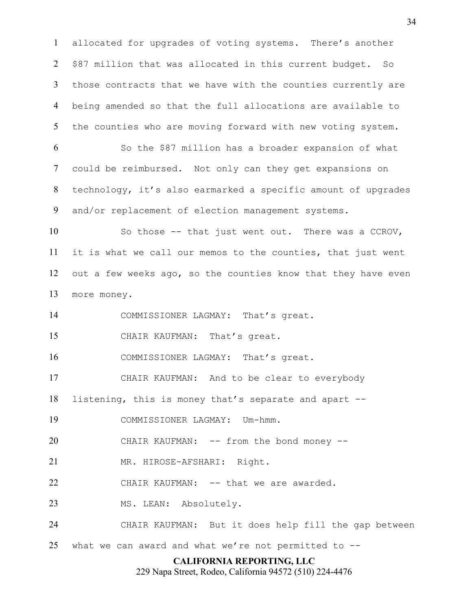allocated for upgrades of voting systems. There's another \$87 million that was allocated in this current budget. So those contracts that we have with the counties currently are being amended so that the full allocations are available to the counties who are moving forward with new voting system.

 So the \$87 million has a broader expansion of what could be reimbursed. Not only can they get expansions on technology, it's also earmarked a specific amount of upgrades and/or replacement of election management systems.

 So those -- that just went out. There was a CCROV, it is what we call our memos to the counties, that just went out a few weeks ago, so the counties know that they have even more money.

14 COMMISSIONER LAGMAY: That's great.

CHAIR KAUFMAN: That's great.

16 COMMISSIONER LAGMAY: That's great.

CHAIR KAUFMAN: And to be clear to everybody

listening, this is money that's separate and apart --

COMMISSIONER LAGMAY: Um-hmm.

20 CHAIR KAUFMAN: -- from the bond money --

MR. HIROSE-AFSHARI: Right.

22 CHAIR KAUFMAN: -- that we are awarded.

23 MS. LEAN: Absolutely.

CHAIR KAUFMAN: But it does help fill the gap between

what we can award and what we're not permitted to --

## **CALIFORNIA REPORTING, LLC**

229 Napa Street, Rodeo, California 94572 (510) 224-4476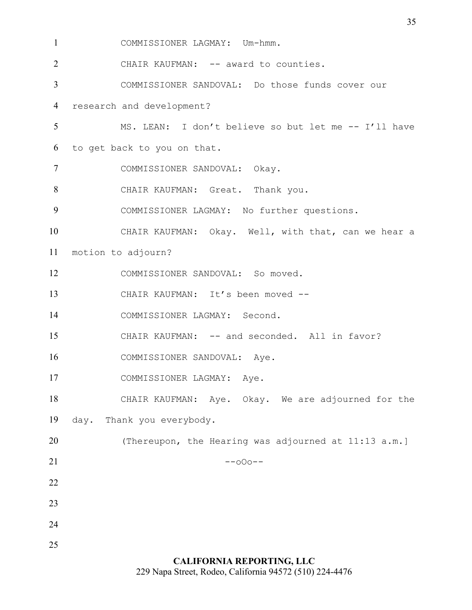COMMISSIONER LAGMAY: Um-hmm.

2 CHAIR KAUFMAN: -- award to counties.

COMMISSIONER SANDOVAL: Do those funds cover our

research and development?

- MS. LEAN: I don't believe so but let me -- I'll have to get back to you on that.
- COMMISSIONER SANDOVAL: Okay.
- CHAIR KAUFMAN: Great. Thank you.
- COMMISSIONER LAGMAY: No further questions.
- CHAIR KAUFMAN: Okay. Well, with that, can we hear a
- motion to adjourn?
- COMMISSIONER SANDOVAL: So moved.
- 13 CHAIR KAUFMAN: It's been moved --

COMMISSIONER LAGMAY: Second.

- CHAIR KAUFMAN: -- and seconded. All in favor?
- COMMISSIONER SANDOVAL: Aye.
- COMMISSIONER LAGMAY: Aye.
- CHAIR KAUFMAN: Aye. Okay. We are adjourned for the day. Thank you everybody.
- 20 (Thereupon, the Hearing was adjourned at 11:13 a.m.)  $-000$   $-$
- 
- 
- 
- 
- 

**CALIFORNIA REPORTING, LLC** 229 Napa Street, Rodeo, California 94572 (510) 224-4476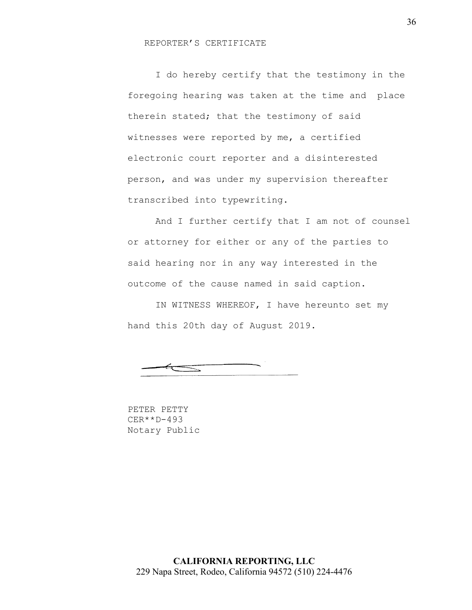## REPORTER'S CERTIFICATE

I do hereby certify that the testimony in the foregoing hearing was taken at the time and place therein stated; that the testimony of said witnesses were reported by me, a certified electronic court reporter and a disinterested person, and was under my supervision thereafter transcribed into typewriting.

And I further certify that I am not of counsel or attorney for either or any of the parties to said hearing nor in any way interested in the outcome of the cause named in said caption.

IN WITNESS WHEREOF, I have hereunto set my hand this 20th day of August 2019.

 $\equiv$ 

PETER PETTY CER\*\*D-493 Notary Public